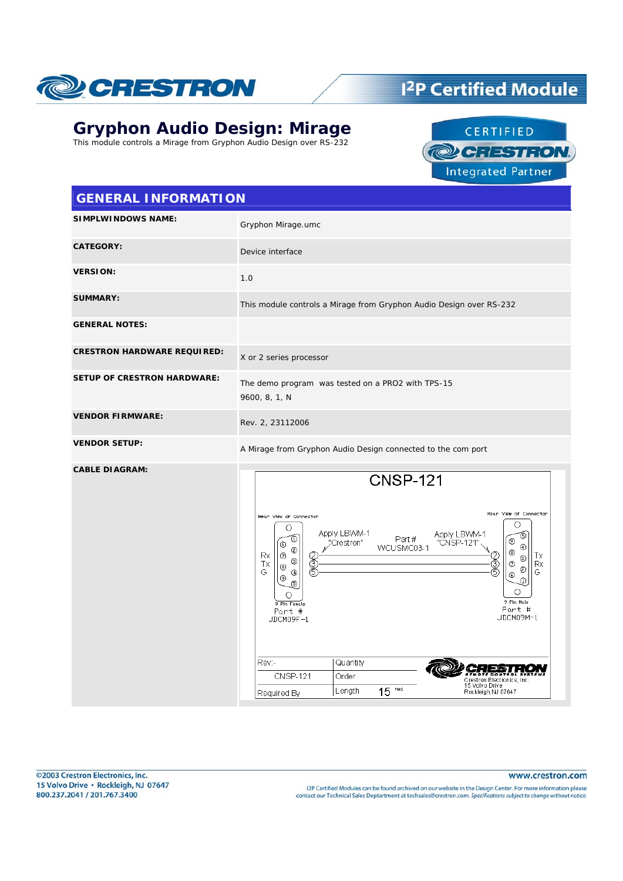

## <sup>12</sup>P Certified Module

### **Gryphon Audio Design: Mirage**

This module controls a Mirage from Gryphon Audio Design over RS-232



#### **GENERAL INFORMATION**

| <b>SIMPLWINDOWS NAME:</b>          | Gryphon Mirage.umc                                                                                                                                                                                                                                                                                                                                                                                                                                                                                                                                                                                                                     |
|------------------------------------|----------------------------------------------------------------------------------------------------------------------------------------------------------------------------------------------------------------------------------------------------------------------------------------------------------------------------------------------------------------------------------------------------------------------------------------------------------------------------------------------------------------------------------------------------------------------------------------------------------------------------------------|
| <b>CATEGORY:</b>                   | Device interface                                                                                                                                                                                                                                                                                                                                                                                                                                                                                                                                                                                                                       |
| <b>VERSION:</b>                    | 1.0                                                                                                                                                                                                                                                                                                                                                                                                                                                                                                                                                                                                                                    |
| <b>SUMMARY:</b>                    | This module controls a Mirage from Gryphon Audio Design over RS-232                                                                                                                                                                                                                                                                                                                                                                                                                                                                                                                                                                    |
| <b>GENERAL NOTES:</b>              |                                                                                                                                                                                                                                                                                                                                                                                                                                                                                                                                                                                                                                        |
| <b>CRESTRON HARDWARE REQUIRED:</b> | X or 2 series processor                                                                                                                                                                                                                                                                                                                                                                                                                                                                                                                                                                                                                |
| <b>SETUP OF CRESTRON HARDWARE:</b> | The demo program was tested on a PRO2 with TPS-15<br>9600, 8, 1, N                                                                                                                                                                                                                                                                                                                                                                                                                                                                                                                                                                     |
| <b>VENDOR FIRMWARE:</b>            | Rev. 2, 23112006                                                                                                                                                                                                                                                                                                                                                                                                                                                                                                                                                                                                                       |
| <b>VENDOR SETUP:</b>               | A Mirage from Gryphon Audio Design connected to the com port                                                                                                                                                                                                                                                                                                                                                                                                                                                                                                                                                                           |
| <b>CABLE DIAGRAM:</b>              | <b>CNSP-121</b><br>Rear View of Connector<br>Rean View of Connector<br>O<br>O<br>Apply LBWM-1<br>Apply LBWM-1<br>T<br>Ō<br>Part#<br>℗<br>"CNSP-121"<br>"Crestron"<br>⊙<br>⊕<br>WCUSMC03-1<br>☺<br>◉<br>Rx<br>Ø<br>Тx<br>2<br>S<br>$^\circledR$<br>٧<br>$^{\circ}$<br>Тx<br>Ê<br>Rx<br>$_{\textcircled{\scriptsize{8}}}$<br>$^\copyright$<br>G<br>⊕<br>G<br>$^\circledR$<br>⊕<br>5<br>Ō<br>○<br>9 Pln Male<br>9 Pln Fenale<br>Part #<br>Part #<br>JDCM09M-1<br>JDCM09F-1<br>Rev:-<br>Quantity<br><b>CNSP-121</b><br>Order<br>Crestron Electronics, Inc.<br>15 Volvo Drive<br>Feet<br>Length<br>15<br>Rockleigh, NJ 07647<br>Required By |

I2P Certified Modules can be found archived on our website in the Design Center. For more information please contact our Technical Sales Deptartment at techsales@crestron.com. Specifications subject to change without notice.

www.crestron.com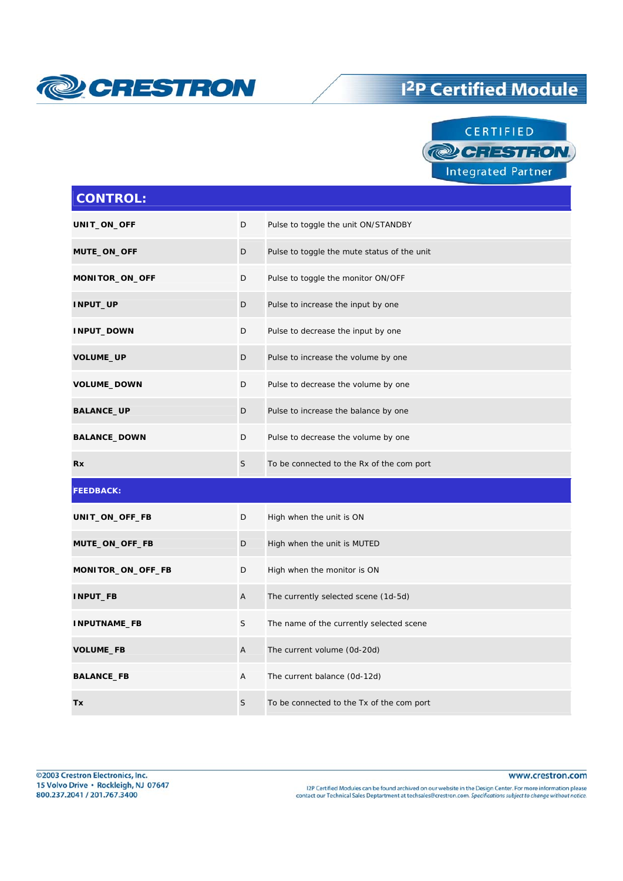

## <sup>12</sup>P Certified Module



| <b>CONTROL:</b>     |                |                                             |
|---------------------|----------------|---------------------------------------------|
| UNIT_ON_OFF         | D              | Pulse to toggle the unit ON/STANDBY         |
| MUTE_ON_OFF         | D              | Pulse to toggle the mute status of the unit |
| MONITOR_ON_OFF      | D              | Pulse to toggle the monitor ON/OFF          |
| INPUT_UP            | D              | Pulse to increase the input by one          |
| <b>INPUT_DOWN</b>   | D              | Pulse to decrease the input by one          |
| VOLUME_UP           | D              | Pulse to increase the volume by one         |
| <b>VOLUME_DOWN</b>  | D              | Pulse to decrease the volume by one         |
| <b>BALANCE_UP</b>   | D              | Pulse to increase the balance by one        |
| <b>BALANCE_DOWN</b> | D              | Pulse to decrease the volume by one         |
| <b>Rx</b>           | S              | To be connected to the Rx of the com port   |
| <b>FEEDBACK:</b>    |                |                                             |
| UNIT_ON_OFF_FB      | D              | High when the unit is ON                    |
| MUTE_ON_OFF_FB      | D              | High when the unit is MUTED                 |
| MONITOR_ON_OFF_FB   | D              | High when the monitor is ON                 |
| INPUT_FB            | A              | The currently selected scene (1d-5d)        |
| INPUTNAME_FB        | S              | The name of the currently selected scene    |
| <b>VOLUME_FB</b>    | $\overline{A}$ | The current volume (0d-20d)                 |
| <b>BALANCE_FB</b>   | Α              | The current balance (0d-12d)                |
| Tx                  | S              | To be connected to the Tx of the com port   |

12P Certified Modules can be found archived on our website in the Design Center. For more information please<br>contact our Technical Sales Deptartment at techsales@crestron.com. Specifications subject to change without notic

www.crestron.com